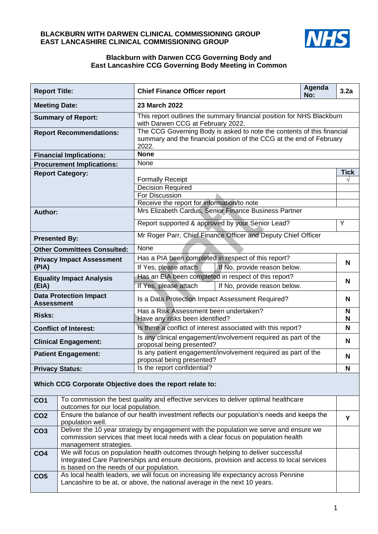## **BLACKBURN WITH DARWEN CLINICAL COMMISSIONING GROUP EAST LANCASHIRE CLINICAL COMMISSIONING GROUP**



## **Blackburn with Darwen CCG Governing Body and East Lancashire CCG Governing Body Meeting in Common**

| <b>Report Title:</b>                                                                                                                                                     |                                                      | <b>Chief Finance Officer report</b>                                                                                                                     | Agenda<br>No: | 3.2a        |  |  |  |
|--------------------------------------------------------------------------------------------------------------------------------------------------------------------------|------------------------------------------------------|---------------------------------------------------------------------------------------------------------------------------------------------------------|---------------|-------------|--|--|--|
| <b>Meeting Date:</b>                                                                                                                                                     |                                                      | 23 March 2022                                                                                                                                           |               |             |  |  |  |
| <b>Summary of Report:</b>                                                                                                                                                |                                                      | This report outlines the summary financial position for NHS Blackburn<br>with Darwen CCG at February 2022.                                              |               |             |  |  |  |
|                                                                                                                                                                          | <b>Report Recommendations:</b>                       | The CCG Governing Body is asked to note the contents of this financial<br>summary and the financial position of the CCG at the end of February<br>2022. |               |             |  |  |  |
|                                                                                                                                                                          | <b>Financial Implications:</b>                       | <b>None</b>                                                                                                                                             |               |             |  |  |  |
|                                                                                                                                                                          | <b>Procurement Implications:</b>                     | None                                                                                                                                                    |               |             |  |  |  |
|                                                                                                                                                                          | <b>Report Category:</b>                              |                                                                                                                                                         |               | <b>Tick</b> |  |  |  |
|                                                                                                                                                                          |                                                      | <b>Formally Receipt</b><br><b>Decision Required</b>                                                                                                     |               |             |  |  |  |
|                                                                                                                                                                          |                                                      | <b>For Discussion</b>                                                                                                                                   |               |             |  |  |  |
|                                                                                                                                                                          |                                                      | Receive the report for information/to note                                                                                                              |               |             |  |  |  |
| Author:                                                                                                                                                                  |                                                      | Mrs Elizabeth Cardus, Senior Finance Business Partner                                                                                                   |               |             |  |  |  |
|                                                                                                                                                                          |                                                      | Report supported & approved by your Senior Lead?                                                                                                        |               | Y           |  |  |  |
| <b>Presented By:</b>                                                                                                                                                     |                                                      | Mr Roger Parr, Chief Finance Officer and Deputy Chief Officer                                                                                           |               |             |  |  |  |
|                                                                                                                                                                          |                                                      | None                                                                                                                                                    |               |             |  |  |  |
|                                                                                                                                                                          |                                                      | Has a PIA been completed in respect of this report?                                                                                                     |               | N           |  |  |  |
| (PIA)                                                                                                                                                                    | If Yes, please attach<br>If Yes, please attach       | If No, provide reason below.                                                                                                                            |               |             |  |  |  |
| <b>Other Committees Consulted:</b><br><b>Privacy Impact Assessment</b><br><b>Equality Impact Analysis</b><br>(EIA)<br><b>Data Protection Impact</b><br><b>Assessment</b> | Has an EIA been completed in respect of this report? |                                                                                                                                                         |               |             |  |  |  |
|                                                                                                                                                                          |                                                      | If No, provide reason below.                                                                                                                            |               | N           |  |  |  |
|                                                                                                                                                                          |                                                      | Is a Data Protection Impact Assessment Required?                                                                                                        |               | N           |  |  |  |
| <b>Risks:</b>                                                                                                                                                            |                                                      | Has a Risk Assessment been undertaken?<br>Have any risks been identified?                                                                               |               | N<br>N      |  |  |  |
|                                                                                                                                                                          |                                                      | Is there a conflict of interest associated with this report?                                                                                            |               |             |  |  |  |
| <b>Conflict of Interest:</b>                                                                                                                                             |                                                      | Is any clinical engagement/involvement required as part of the                                                                                          |               | N           |  |  |  |
|                                                                                                                                                                          | <b>Clinical Engagement:</b>                          | proposal being presented?                                                                                                                               |               |             |  |  |  |
| <b>Patient Engagement:</b>                                                                                                                                               |                                                      | Is any patient engagement/involvement required as part of the<br>proposal being presented?                                                              |               | N           |  |  |  |
| <b>Privacy Status:</b>                                                                                                                                                   |                                                      | Is the report confidential?                                                                                                                             |               |             |  |  |  |
|                                                                                                                                                                          |                                                      | Which CCG Corporate Objective does the report relate to:                                                                                                |               |             |  |  |  |
| CO <sub>1</sub>                                                                                                                                                          | outcomes for our local population.                   | To commission the best quality and effective services to deliver optimal healthcare                                                                     |               |             |  |  |  |
| CO <sub>2</sub>                                                                                                                                                          | population well.                                     | Ensure the balance of our health investment reflects our population's needs and keeps the                                                               |               | Y           |  |  |  |
| CO <sub>3</sub>                                                                                                                                                          |                                                      | Deliver the 10 year strategy by engagement with the population we serve and ensure we                                                                   |               |             |  |  |  |
| commission services that meet local needs with a clear focus on population health<br>management strategies.                                                              |                                                      |                                                                                                                                                         |               |             |  |  |  |
| CO <sub>4</sub>                                                                                                                                                          |                                                      | We will focus on population health outcomes through helping to deliver successful                                                                       |               |             |  |  |  |
|                                                                                                                                                                          | is based on the needs of our population.             | Integrated Care Partnerships and ensure decisions, provision and access to local services                                                               |               |             |  |  |  |

|                 | I is based on the needs of our population.                                                                                                                       |
|-----------------|------------------------------------------------------------------------------------------------------------------------------------------------------------------|
| CO <sub>5</sub> | As local health leaders, we will focus on increasing life expectancy across Pennine<br>Lancashire to be at, or above, the national average in the next 10 years. |